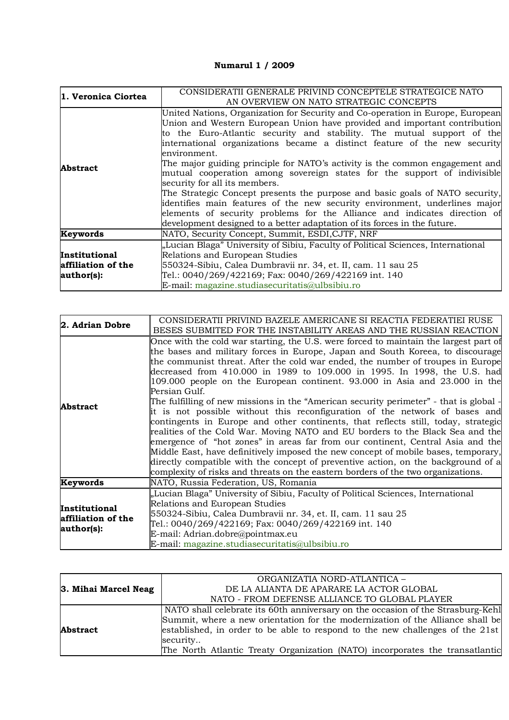## **Numarul 1 / 2009**

| 1. Veronica Ciortea                               | CONSIDERATII GENERALE PRIVIND CONCEPTELE STRATEGICE NATO<br>AN OVERVIEW ON NATO STRATEGIC CONCEPTS                                                                                                                                                                                                                                                                                                                                                                                                                                                                                                                                                                                                                                                                                                                                                     |
|---------------------------------------------------|--------------------------------------------------------------------------------------------------------------------------------------------------------------------------------------------------------------------------------------------------------------------------------------------------------------------------------------------------------------------------------------------------------------------------------------------------------------------------------------------------------------------------------------------------------------------------------------------------------------------------------------------------------------------------------------------------------------------------------------------------------------------------------------------------------------------------------------------------------|
| Abstract                                          | United Nations, Organization for Security and Co-operation in Europe, European<br>Union and Western European Union have provided and important contribution<br>to the Euro-Atlantic security and stability. The mutual support of the<br>international organizations became a distinct feature of the new security<br>environment.<br>The major guiding principle for NATO's activity is the common engagement and<br>mutual cooperation among sovereign states for the support of indivisible<br>security for all its members.<br>The Strategic Concept presents the purpose and basic goals of NATO security,<br>identifies main features of the new security environment, underlines major<br>elements of security problems for the Alliance and indicates direction of<br>development designed to a better adaptation of its forces in the future. |
| Keywords                                          | NATO, Security Concept, Summit, ESDI, CJTF, NRF                                                                                                                                                                                                                                                                                                                                                                                                                                                                                                                                                                                                                                                                                                                                                                                                        |
| Institutional<br>affiliation of the<br>author(s): | "Lucian Blaga" University of Sibiu, Faculty of Political Sciences, International<br>Relations and European Studies<br>550324-Sibiu, Calea Dumbravii nr. 34, et. II, cam. 11 sau 25<br>Tel.: 0040/269/422169; Fax: 0040/269/422169 int. 140<br>E-mail: magazine.studiasecuritatis@ulbsibiu.ro                                                                                                                                                                                                                                                                                                                                                                                                                                                                                                                                                           |

| 2. Adrian Dobre                                   | CONSIDERATII PRIVIND BAZELE AMERICANE SI REACTIA FEDERATIEI RUSE<br>BESES SUBMITED FOR THE INSTABILITY AREAS AND THE RUSSIAN REACTION                                                                                                                                                                                                                                                                                                                                                                                                                                                                                                                                                                                                                                                                                                                                                                                                                                                                                                                                                                                                  |
|---------------------------------------------------|----------------------------------------------------------------------------------------------------------------------------------------------------------------------------------------------------------------------------------------------------------------------------------------------------------------------------------------------------------------------------------------------------------------------------------------------------------------------------------------------------------------------------------------------------------------------------------------------------------------------------------------------------------------------------------------------------------------------------------------------------------------------------------------------------------------------------------------------------------------------------------------------------------------------------------------------------------------------------------------------------------------------------------------------------------------------------------------------------------------------------------------|
| <b>Abstract</b>                                   | Once with the cold war starting, the U.S. were forced to maintain the largest part of<br>the bases and military forces in Europe, Japan and South Koreea, to discourage<br>the communist threat. After the cold war ended, the number of troupes in Europe<br>decreased from 410.000 in 1989 to 109.000 in 1995. In 1998, the U.S. had<br>109.000 people on the European continent. 93.000 in Asia and 23.000 in the<br>Persian Gulf.<br>The fulfilling of new missions in the "American security perimeter" - that is global -<br>it is not possible without this reconfiguration of the network of bases and<br>contingents in Europe and other continents, that reflects still, today, strategic<br>realities of the Cold War. Moving NATO and EU borders to the Black Sea and the<br>emergence of "hot zones" in areas far from our continent, Central Asia and the<br>Middle East, have definitively imposed the new concept of mobile bases, temporary,<br>directly compatible with the concept of preventive action, on the background of a<br>complexity of risks and threats on the eastern borders of the two organizations. |
| Keywords                                          | NATO, Russia Federation, US, Romania                                                                                                                                                                                                                                                                                                                                                                                                                                                                                                                                                                                                                                                                                                                                                                                                                                                                                                                                                                                                                                                                                                   |
| Institutional<br>affiliation of the<br>author(s): | "Lucian Blaga" University of Sibiu, Faculty of Political Sciences, International<br>Relations and European Studies<br>550324-Sibiu, Calea Dumbravii nr. 34, et. II, cam. 11 sau 25<br>Tel.: 0040/269/422169; Fax: 0040/269/422169 int. 140<br>E-mail: Adrian.dobre@pointmax.eu<br>E-mail: magazine.studiasecuritatis@ulbsibiu.ro                                                                                                                                                                                                                                                                                                                                                                                                                                                                                                                                                                                                                                                                                                                                                                                                       |

|                      | ORGANIZATIA NORD-ATLANTICA -                                                    |
|----------------------|---------------------------------------------------------------------------------|
| 3. Mihai Marcel Neag | DE LA ALIANTA DE APARARE LA ACTOR GLOBAL                                        |
|                      | NATO - FROM DEFENSE ALLIANCE TO GLOBAL PLAYER                                   |
|                      | NATO shall celebrate its 60th anniversary on the occasion of the Strasburg-Kehl |
|                      | Summit, where a new orientation for the modernization of the Alliance shall be  |
| <b>Abstract</b>      | established, in order to be able to respond to the new challenges of the 21st   |
|                      | security                                                                        |
|                      | The North Atlantic Treaty Organization (NATO) incorporates the transatlantic    |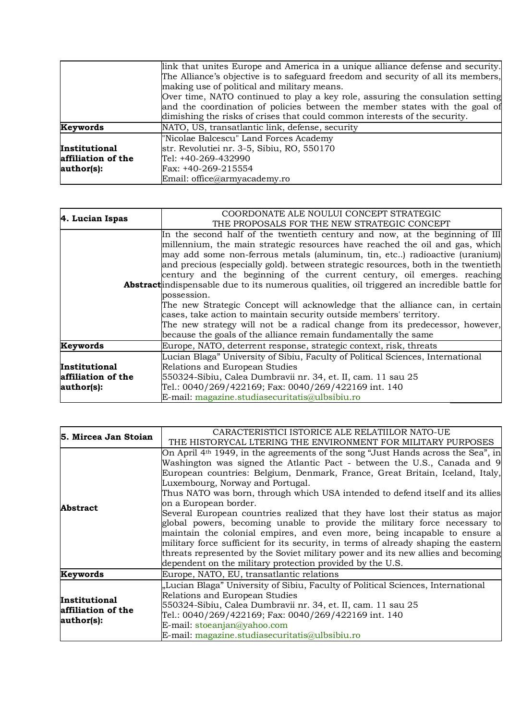|                    | link that unites Europe and America in a unique alliance defense and security.<br>The Alliance's objective is to safeguard freedom and security of all its members, |
|--------------------|---------------------------------------------------------------------------------------------------------------------------------------------------------------------|
|                    | making use of political and military means.                                                                                                                         |
|                    | Over time, NATO continued to play a key role, assuring the consulation setting                                                                                      |
|                    | and the coordination of policies between the member states with the goal of                                                                                         |
|                    | dimishing the risks of crises that could common interests of the security.                                                                                          |
| <b>Keywords</b>    | NATO, US, transatlantic link, defense, security                                                                                                                     |
|                    | "Nicolae Balcescu" Land Forces Academy                                                                                                                              |
| Institutional      | str. Revolutiei nr. 3-5, Sibiu, RO, 550170                                                                                                                          |
| affiliation of the | Tel: +40-269-432990                                                                                                                                                 |
| author(s):         | Fax: +40-269-215554                                                                                                                                                 |
|                    | Email: office@armyacademy.ro                                                                                                                                        |

| 4. Lucian Ispas    | COORDONATE ALE NOULUI CONCEPT STRATEGIC                                                     |
|--------------------|---------------------------------------------------------------------------------------------|
|                    | THE PROPOSALS FOR THE NEW STRATEGIC CONCEPT                                                 |
|                    | In the second half of the twentieth century and now, at the beginning of III                |
|                    | millennium, the main strategic resources have reached the oil and gas, which                |
|                    | may add some non-ferrous metals (aluminum, tin, etc) radioactive (uranium)                  |
|                    | and precious (especially gold). between strategic resources, both in the twentieth          |
|                    | century and the beginning of the current century, oil emerges. reaching                     |
|                    | Abstractindispensable due to its numerous qualities, oil triggered an incredible battle for |
|                    | possession.                                                                                 |
|                    | The new Strategic Concept will acknowledge that the alliance can, in certain                |
|                    | cases, take action to maintain security outside members' territory.                         |
|                    | The new strategy will not be a radical change from its predecessor, however,                |
|                    | because the goals of the alliance remain fundamentally the same                             |
| Keywords           | Europe, NATO, deterrent response, strategic context, risk, threats                          |
|                    | Lucian Blaga" University of Sibiu, Faculty of Political Sciences, International             |
| Institutional      | Relations and European Studies                                                              |
| affiliation of the | 550324-Sibiu, Calea Dumbravii nr. 34, et. II, cam. 11 sau 25                                |
| author(s):         | Tel.: 0040/269/422169; Fax: 0040/269/422169 int. 140                                        |
|                    | E-mail: magazine.studiasecuritatis@ulbsibiu.ro                                              |

| 5. Mircea Jan Stoian                              | CARACTERISTICI ISTORICE ALE RELATIILOR NATO-UE                                               |
|---------------------------------------------------|----------------------------------------------------------------------------------------------|
|                                                   | THE HISTORYCAL LTERING THE ENVIRONMENT FOR MILITARY PURPOSES                                 |
|                                                   | On April 4 <sup>th</sup> 1949, in the agreements of the song "Just Hands across the Sea", in |
|                                                   | Washington was signed the Atlantic Pact - between the U.S., Canada and 9                     |
|                                                   | European countries: Belgium, Denmark, France, Great Britain, Iceland, Italy,                 |
|                                                   | Luxembourg, Norway and Portugal.                                                             |
|                                                   | Thus NATO was born, through which USA intended to defend itself and its allies               |
| <b>Abstract</b>                                   | on a European border.                                                                        |
|                                                   | Several European countries realized that they have lost their status as major                |
|                                                   | global powers, becoming unable to provide the military force necessary to                    |
|                                                   | maintain the colonial empires, and even more, being incapable to ensure a                    |
|                                                   | military force sufficient for its security, in terms of already shaping the eastern          |
|                                                   | threats represented by the Soviet military power and its new allies and becoming             |
|                                                   | dependent on the military protection provided by the U.S.                                    |
| Keywords                                          | Europe, NATO, EU, transatlantic relations                                                    |
| Institutional<br>affiliation of the<br>author(s): | "Lucian Blaga" University of Sibiu, Faculty of Political Sciences, International             |
|                                                   | Relations and European Studies                                                               |
|                                                   | 550324-Sibiu, Calea Dumbravii nr. 34, et. II, cam. 11 sau 25                                 |
|                                                   | Tel.: 0040/269/422169; Fax: 0040/269/422169 int. 140                                         |
|                                                   | E-mail: stoeanjan@yahoo.com                                                                  |
|                                                   | E-mail: magazine.studiasecuritatis@ulbsibiu.ro                                               |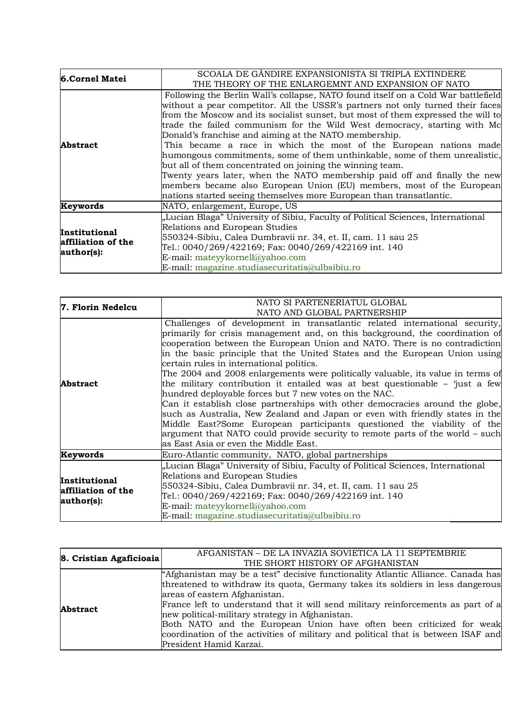| 6.Cornel Matei                                    | SCOALA DE GANDIRE EXPANSIONISTA SI TRIPLA EXTINDERE<br>THE THEORY OF THE ENLARGEMNT AND EXPANSION OF NATO                                                                                                                                                                                                                                                                                                                                                                                                                                                                                                                                                                                                                                                                                                                                 |
|---------------------------------------------------|-------------------------------------------------------------------------------------------------------------------------------------------------------------------------------------------------------------------------------------------------------------------------------------------------------------------------------------------------------------------------------------------------------------------------------------------------------------------------------------------------------------------------------------------------------------------------------------------------------------------------------------------------------------------------------------------------------------------------------------------------------------------------------------------------------------------------------------------|
| <b>Abstract</b>                                   | Following the Berlin Wall's collapse, NATO found itself on a Cold War battlefield<br>without a pear competitor. All the USSR's partners not only turned their faces<br>from the Moscow and its socialist sunset, but most of them expressed the will to<br>trade the failed communism for the Wild West democracy, starting with Mc<br>Donald's franchise and aiming at the NATO membership.<br>This became a race in which the most of the European nations made<br>humongous commitments, some of them unthinkable, some of them unrealistic,<br>but all of them concentrated on joining the winning team.<br>Twenty years later, when the NATO membership paid off and finally the new<br>members became also European Union (EU) members, most of the European<br>nations started seeing themselves more European than transatlantic. |
| Keywords                                          | NATO, enlargement, Europe, US                                                                                                                                                                                                                                                                                                                                                                                                                                                                                                                                                                                                                                                                                                                                                                                                             |
| Institutional<br>affiliation of the<br>author(s): | "Lucian Blaga" University of Sibiu, Faculty of Political Sciences, International<br>Relations and European Studies<br>550324-Sibiu, Calea Dumbravii nr. 34, et. II, cam. 11 sau 25<br>Tel.: 0040/269/422169; Fax: 0040/269/422169 int. 140<br>E-mail: mateyykornell@yahoo.com<br>E-mail: magazine.studiasecuritatis@ulbsibiu.ro                                                                                                                                                                                                                                                                                                                                                                                                                                                                                                           |

| 7. Florin Nedelcu                                 | NATO SI PARTENERIATUL GLOBAL                                                                                                                                                                                                                                                                                                                                                                                                                                                                                                                                                                                                                                                                                                                                                                                                                                                                                                                                      |
|---------------------------------------------------|-------------------------------------------------------------------------------------------------------------------------------------------------------------------------------------------------------------------------------------------------------------------------------------------------------------------------------------------------------------------------------------------------------------------------------------------------------------------------------------------------------------------------------------------------------------------------------------------------------------------------------------------------------------------------------------------------------------------------------------------------------------------------------------------------------------------------------------------------------------------------------------------------------------------------------------------------------------------|
|                                                   | NATO AND GLOBAL PARTNERSHIP                                                                                                                                                                                                                                                                                                                                                                                                                                                                                                                                                                                                                                                                                                                                                                                                                                                                                                                                       |
| <b>Abstract</b>                                   | Challenges of development in transatlantic related international security,<br>primarily for crisis management and, on this background, the coordination of<br>cooperation between the European Union and NATO. There is no contradiction<br>in the basic principle that the United States and the European Union using<br>certain rules in international politics.<br>The 2004 and 2008 enlargements were politically valuable, its value in terms of<br>the military contribution it entailed was at best questionable – just a few<br>hundred deployable forces but 7 new votes on the NAC.<br>Can it establish close partnerships with other democracies around the globe,<br>such as Australia, New Zealand and Japan or even with friendly states in the<br>Middle East?Some European participants questioned the viability of the<br>argument that NATO could provide security to remote parts of the world – such<br>as East Asia or even the Middle East. |
| Keywords                                          | Euro-Atlantic community, NATO, global partnerships                                                                                                                                                                                                                                                                                                                                                                                                                                                                                                                                                                                                                                                                                                                                                                                                                                                                                                                |
| Institutional<br>affiliation of the<br>author(s): | "Lucian Blaga" University of Sibiu, Faculty of Political Sciences, International<br>Relations and European Studies<br>550324-Sibiu, Calea Dumbravii nr. 34, et. II, cam. 11 sau 25<br>Tel.: 0040/269/422169; Fax: 0040/269/422169 int. 140<br>E-mail: mateyykornell@yahoo.com<br>E-mail: magazine.studiasecuritatis@ulbsibiu.ro                                                                                                                                                                                                                                                                                                                                                                                                                                                                                                                                                                                                                                   |

| 8. Cristian Agaficioaia | AFGANISTAN – DE LA INVAZIA SOVIETICA LA 11 SEPTEMBRIE                             |
|-------------------------|-----------------------------------------------------------------------------------|
|                         | THE SHORT HISTORY OF AFGHANISTAN                                                  |
| <b>Abstract</b>         | "Afghanistan may be a test" decisive functionality Atlantic Alliance. Canada has  |
|                         | threatened to withdraw its quota, Germany takes its soldiers in less dangerous    |
|                         | areas of eastern Afghanistan.                                                     |
|                         | France left to understand that it will send military reinforcements as part of a  |
|                         | new political-military strategy in Afghanistan.                                   |
|                         | Both NATO and the European Union have often been criticized for weak              |
|                         | coordination of the activities of military and political that is between ISAF and |
|                         | President Hamid Karzai.                                                           |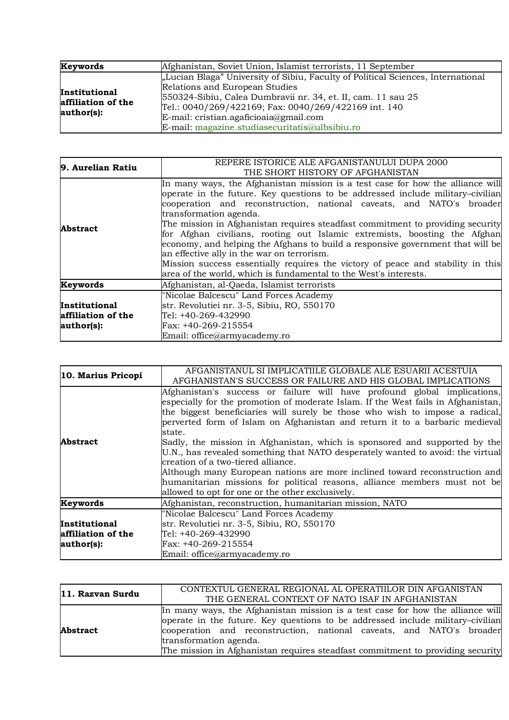| Keywords                                          | Afghanistan, Soviet Union, Islamist terrorists, 11 September                                                                                                                                                                                                                                                                           |
|---------------------------------------------------|----------------------------------------------------------------------------------------------------------------------------------------------------------------------------------------------------------------------------------------------------------------------------------------------------------------------------------------|
| Institutional<br>affiliation of the<br>author(s): | "Lucian Blaga" University of Sibiu, Faculty of Political Sciences, International<br>Relations and European Studies<br>550324-Sibiu, Calea Dumbravii nr. 34, et. II, cam. 11 sau 25<br>Tel.: 0040/269/422169; Fax: 0040/269/422169 int. 140<br>E-mail: cristian.agaficioaia@gmail.com<br>E-mail: magazine.studiasecuritatis@ulbsibiu.ro |

| 9. Aurelian Ratiu                                 | REPERE ISTORICE ALE AFGANISTANULUI DUPA 2000<br>THE SHORT HISTORY OF AFGHANISTAN                                                                                                                                                                                                                                                                                                                                                                                                                                                                                                                                                                                                                                         |
|---------------------------------------------------|--------------------------------------------------------------------------------------------------------------------------------------------------------------------------------------------------------------------------------------------------------------------------------------------------------------------------------------------------------------------------------------------------------------------------------------------------------------------------------------------------------------------------------------------------------------------------------------------------------------------------------------------------------------------------------------------------------------------------|
| <b>Abstract</b>                                   | In many ways, the Afghanistan mission is a test case for how the alliance will<br>operate in the future. Key questions to be addressed include military-civilian<br>cooperation and reconstruction, national caveats, and NATO's broader<br>transformation agenda.<br>The mission in Afghanistan requires steadfast commitment to providing security<br>for Afghan civilians, rooting out Islamic extremists, boosting the Afghan<br>economy, and helping the Afghans to build a responsive government that will be<br>an effective ally in the war on terrorism.<br>Mission success essentially requires the victory of peace and stability in this<br>area of the world, which is fundamental to the West's interests. |
| Keywords                                          | Afghanistan, al-Qaeda, Islamist terrorists                                                                                                                                                                                                                                                                                                                                                                                                                                                                                                                                                                                                                                                                               |
| Institutional<br>affiliation of the<br>author(s): | "Nicolae Balcescu" Land Forces Academy<br>str. Revolutiei nr. 3-5, Sibiu, RO, 550170<br>Tel: +40-269-432990<br>Fax: +40-269-215554<br>Email: office@armyacademy.ro                                                                                                                                                                                                                                                                                                                                                                                                                                                                                                                                                       |

| 10. Marius Pricopi                                | AFGANISTANUL SI IMPLICATIILE GLOBALE ALE ESUARII ACESTUIA<br>AFGHANISTAN'S SUCCESS OR FAILURE AND HIS GLOBAL IMPLICATIONS                                                                                                                                                                                                                                                                                                                                                                                                                                                                                                                                                                                                                                    |
|---------------------------------------------------|--------------------------------------------------------------------------------------------------------------------------------------------------------------------------------------------------------------------------------------------------------------------------------------------------------------------------------------------------------------------------------------------------------------------------------------------------------------------------------------------------------------------------------------------------------------------------------------------------------------------------------------------------------------------------------------------------------------------------------------------------------------|
| <b>Abstract</b>                                   | Afghanistan's success or failure will have profound global implications,<br>especially for the promotion of moderate Islam. If the West fails in Afghanistan,<br>the biggest beneficiaries will surely be those who wish to impose a radical,<br>perverted form of Islam on Afghanistan and return it to a barbaric medieval<br>state.<br>Sadly, the mission in Afghanistan, which is sponsored and supported by the<br>U.N., has revealed something that NATO desperately wanted to avoid: the virtual<br>creation of a two-tiered alliance.<br>Although many European nations are more inclined toward reconstruction and<br>humanitarian missions for political reasons, alliance members must not be<br>allowed to opt for one or the other exclusively. |
| Keywords                                          | Afghanistan, reconstruction, humanitarian mission, NATO                                                                                                                                                                                                                                                                                                                                                                                                                                                                                                                                                                                                                                                                                                      |
| Institutional<br>affiliation of the<br>author(s): | "Nicolae Balcescu" Land Forces Academy<br>str. Revolutiei nr. 3-5, Sibiu, RO, 550170<br>Tel: +40-269-432990<br>Fax: +40-269-215554<br>Email: office@armyacademy.ro                                                                                                                                                                                                                                                                                                                                                                                                                                                                                                                                                                                           |

| 11. Razvan Surdu | CONTEXTUL GENERAL REGIONAL AL OPERATIILOR DIN AFGANISTAN                       |
|------------------|--------------------------------------------------------------------------------|
|                  | THE GENERAL CONTEXT OF NATO ISAF IN AFGHANISTAN                                |
| <b>Abstract</b>  | In many ways, the Afghanistan mission is a test case for how the alliance will |
|                  | operate in the future. Key questions to be addressed include military-civilian |
|                  | cooperation and reconstruction, national caveats, and NATO's broader           |
|                  | transformation agenda.                                                         |
|                  | The mission in Afghanistan requires steadfast commitment to providing security |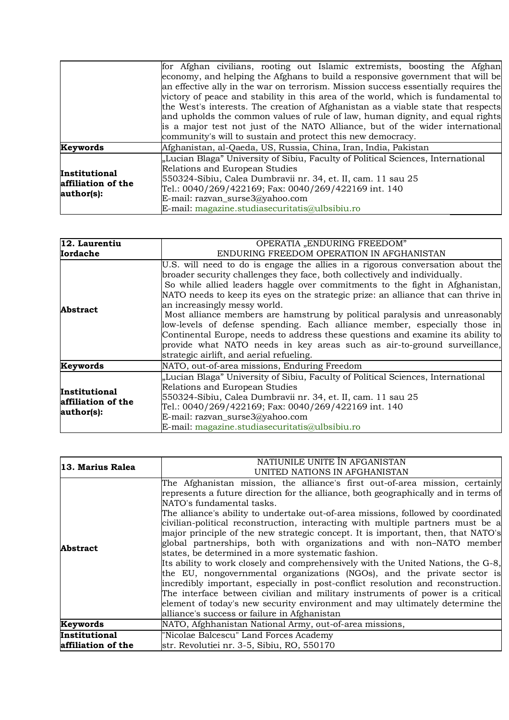|                                                   | for Afghan civilians, rooting out Islamic extremists, boosting the Afghan           |
|---------------------------------------------------|-------------------------------------------------------------------------------------|
|                                                   | economy, and helping the Afghans to build a responsive government that will be      |
|                                                   | an effective ally in the war on terrorism. Mission success essentially requires the |
|                                                   | victory of peace and stability in this area of the world, which is fundamental to   |
|                                                   | the West's interests. The creation of Afghanistan as a viable state that respects   |
|                                                   | and upholds the common values of rule of law, human dignity, and equal rights       |
|                                                   | is a major test not just of the NATO Alliance, but of the wider international       |
|                                                   | community's will to sustain and protect this new democracy.                         |
| Keywords                                          | Afghanistan, al-Qaeda, US, Russia, China, Iran, India, Pakistan                     |
| Institutional<br>affiliation of the<br>author(s): | "Lucian Blaga" University of Sibiu, Faculty of Political Sciences, International    |
|                                                   | Relations and European Studies                                                      |
|                                                   | 550324-Sibiu, Calea Dumbravii nr. 34, et. II, cam. 11 sau 25                        |
|                                                   | Tel.: 0040/269/422169; Fax: 0040/269/422169 int. 140                                |
|                                                   | E-mail: razvan_surse3@yahoo.com                                                     |
|                                                   | E-mail: magazine.studiasecuritatis@ulbsibiu.ro                                      |

| 12. Laurentiu                                     | OPERATIA "ENDURING FREEDOM"                                                                                                                                                                                                                                                                                                                                                                                                                                                                                                                                                                                                                                                                                                               |
|---------------------------------------------------|-------------------------------------------------------------------------------------------------------------------------------------------------------------------------------------------------------------------------------------------------------------------------------------------------------------------------------------------------------------------------------------------------------------------------------------------------------------------------------------------------------------------------------------------------------------------------------------------------------------------------------------------------------------------------------------------------------------------------------------------|
| <b>Iordache</b>                                   | ENDURING FREEDOM OPERATION IN AFGHANISTAN                                                                                                                                                                                                                                                                                                                                                                                                                                                                                                                                                                                                                                                                                                 |
| <b>Abstract</b>                                   | U.S. will need to do is engage the allies in a rigorous conversation about the<br>broader security challenges they face, both collectively and individually.<br>So while allied leaders haggle over commitments to the fight in Afghanistan,<br>NATO needs to keep its eyes on the strategic prize: an alliance that can thrive in<br>an increasingly messy world.<br>Most alliance members are hamstrung by political paralysis and unreasonably<br>low-levels of defense spending. Each alliance member, especially those in<br>Continental Europe, needs to address these questions and examine its ability to<br>provide what NATO needs in key areas such as air-to-ground surveillance,<br>strategic airlift, and aerial refueling. |
| Keywords                                          | NATO, out-of-area missions, Enduring Freedom                                                                                                                                                                                                                                                                                                                                                                                                                                                                                                                                                                                                                                                                                              |
| Institutional<br>affiliation of the<br>author(s): | "Lucian Blaga" University of Sibiu, Faculty of Political Sciences, International<br>Relations and European Studies<br>550324-Sibiu, Calea Dumbravii nr. 34, et. II, cam. 11 sau 25<br>Tel.: 0040/269/422169; Fax: 0040/269/422169 int. 140<br>E-mail: razvan_surse3@yahoo.com<br>E-mail: magazine.studiasecuritatis@ulbsibiu.ro                                                                                                                                                                                                                                                                                                                                                                                                           |

| 13. Marius Ralea   | NATIUNILE UNITE ÎN AFGANISTAN                                                       |
|--------------------|-------------------------------------------------------------------------------------|
|                    | UNITED NATIONS IN AFGHANISTAN                                                       |
|                    | The Afghanistan mission, the alliance's first out-of-area mission, certainly        |
|                    | represents a future direction for the alliance, both geographically and in terms of |
|                    | NATO's fundamental tasks.                                                           |
|                    | The alliance's ability to undertake out-of-area missions, followed by coordinated   |
|                    | civilian-political reconstruction, interacting with multiple partners must be a     |
|                    | major principle of the new strategic concept. It is important, then, that NATO's    |
| Abstract           | global partnerships, both with organizations and with non-NATO member               |
|                    | states, be determined in a more systematic fashion.                                 |
|                    | Its ability to work closely and comprehensively with the United Nations, the G-8,   |
|                    | the EU, nongovernmental organizations (NGOs), and the private sector is             |
|                    | incredibly important, especially in post-conflict resolution and reconstruction.    |
|                    | The interface between civilian and military instruments of power is a critical      |
|                    | element of today's new security environment and may ultimately determine the        |
|                    | alliance's success or failure in Afghanistan                                        |
| Keywords           | NATO, Afghhanistan National Army, out-of-area missions,                             |
| Institutional      | "Nicolae Balcescu" Land Forces Academy                                              |
| affiliation of the | str. Revolutiei nr. 3-5, Sibiu, RO, 550170                                          |